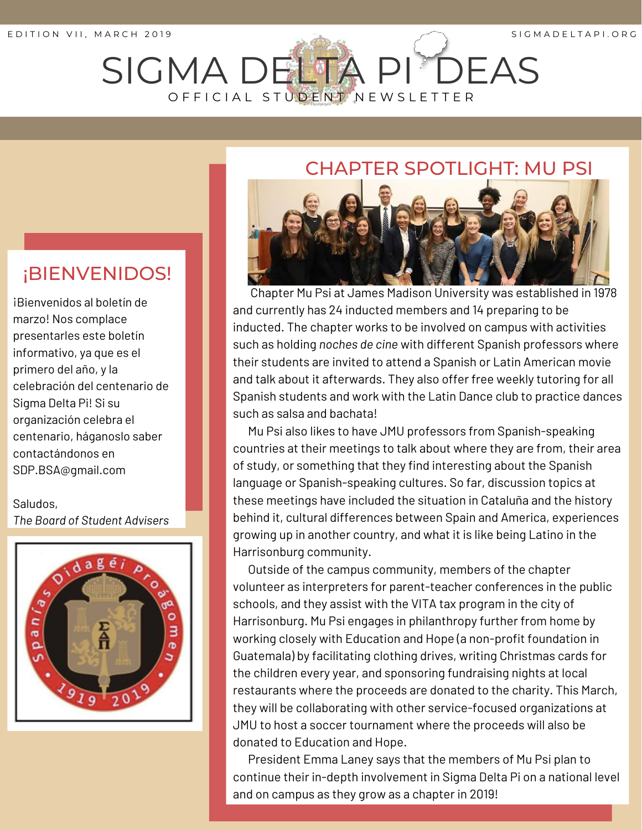# SIGMA DELTA PI DEAS O F F I C I A L S T U D E N T N E W S L E T T E R

#### CHAPTER SPOTLIGHT: MU PSI



Chapter Mu Psi at James Madison University was established in 1978 and currently has 24 inducted members and 14 preparing to be inducted. The chapter works to be involved on campus with activities such as holding *noches de cine* with different Spanish professors where their students are invited to attend a Spanish or Latin American movie and talk about it afterwards. They also offer free weekly tutoring for all Spanish students and work with the Latin Dance club to practice dances such as salsa and bachata!

Harrisonburg community.<br>Outside of the campus community, members of the chapter Mu Psi also likes to have JMU professors from Spanish-speaking countries at their meetings to talk about where they are from, their area of study, or something that they find interesting about the Spanish language or Spanish-speaking cultures. So far, discussion topics at these meetings have included the situation in Cataluña and the history behind it, cultural differences between Spain and America, experiences growing up in another country, and what it is like being Latino in the Harrisonburg community.

volunteer as interpreters for parent-teacher conferences in the public schools, and they assist with the VITA tax program in the city of Harrisonburg. Mu Psi engages in philanthropy further from home by working closely with Education and Hope (a non-profit foundation in Guatemala) by facilitating clothing drives, writing Christmas cards for the children every year, and sponsoring fundraising nights at local restaurants where the proceeds are donated to the charity. This March, they will be collaborating with other service-focused organizations at JMU to host a soccer tournament where the proceeds will also be donated to Education and Hope.

President Emma Laney says that the members of Mu Psi plan to continue their in-depth involvement in Sigma Delta Pi on a national level and on campus as they grow as a chapter in 2019!

#### ¡BIENVENIDOS!

¡Bienvenidos al boletín de marzo! Nos complace presentarles este boletín informativo, ya que es el primero del año, y la celebración del centenario de Sigma Delta Pi! Si su organización celebra el centenario, háganoslo saber contactándonos en SDP.BSA@gmail.com

Saludos, *The Board of Student Advisers*